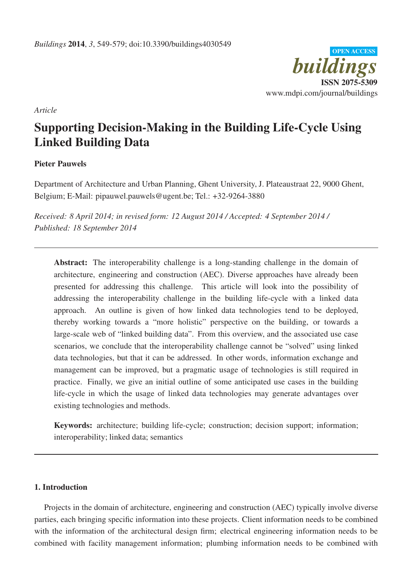

*Article*

# Supporting Decision-Making in the Building Life-Cycle Using Linked Building Data

# Pieter Pauwels

Department of Architecture and Urban Planning, Ghent University, J. Plateaustraat 22, 9000 Ghent, Belgium; E-Mail: pipauwel.pauwels@ugent.be; Tel.: +32-9264-3880

*Received: 8 April 2014; in revised form: 12 August 2014 / Accepted: 4 September 2014 / Published: 18 September 2014*

Abstract: The interoperability challenge is a long-standing challenge in the domain of architecture, engineering and construction (AEC). Diverse approaches have already been presented for addressing this challenge. This article will look into the possibility of addressing the interoperability challenge in the building life-cycle with a linked data approach. An outline is given of how linked data technologies tend to be deployed, thereby working towards a "more holistic" perspective on the building, or towards a large-scale web of "linked building data". From this overview, and the associated use case scenarios, we conclude that the interoperability challenge cannot be "solved" using linked data technologies, but that it can be addressed. In other words, information exchange and management can be improved, but a pragmatic usage of technologies is still required in practice. Finally, we give an initial outline of some anticipated use cases in the building life-cycle in which the usage of linked data technologies may generate advantages over existing technologies and methods.

Keywords: architecture; building life-cycle; construction; decision support; information; interoperability; linked data; semantics

# 1. Introduction

Projects in the domain of architecture, engineering and construction (AEC) typically involve diverse parties, each bringing specific information into these projects. Client information needs to be combined with the information of the architectural design firm; electrical engineering information needs to be combined with facility management information; plumbing information needs to be combined with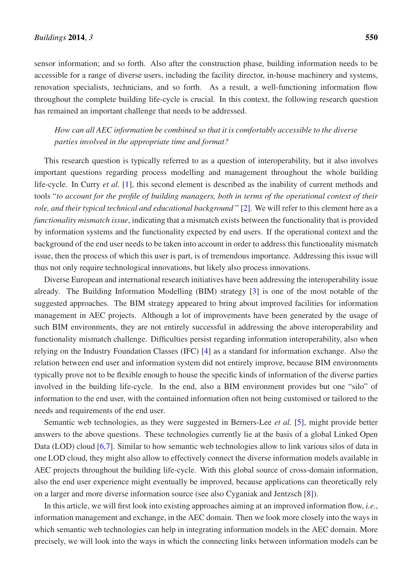sensor information; and so forth. Also after the construction phase, building information needs to be accessible for a range of diverse users, including the facility director, in-house machinery and systems, renovation specialists, technicians, and so forth. As a result, a well-functioning information flow throughout the complete building life-cycle is crucial. In this context, the following research question has remained an important challenge that needs to be addressed.

*How can all AEC information be combined so that it is comfortably accessible to the diverse parties involved in the appropriate time and format?*

This research question is typically referred to as a question of interoperability, but it also involves important questions regarding process modelling and management throughout the whole building life-cycle. In Curry *et al.* [1], this second element is described as the inability of current methods and tools "*to account for the profile of building managers, both in terms of the operational context of their role, and their typical technical and educational background* " [2]. We will refer to this element here as a *functionality mismatch issue*, indicating that a mismatch exists between the functionality that is provided by information systems and the functionality expected by end users. If the operational context and the background of the end user needs to be taken into account in order to address this functionality mismatch issue, then the process of which this user is part, is of tremendous importance. Addressing this issue will thus not only require technological innovations, but likely also process innovations.

Diverse European and international research initiatives have been addressing the interoperability issue already. The Building Information Modelling (BIM) strategy [3] is one of the most notable of the suggested approaches. The BIM strategy appeared to bring about improved facilities for information management in AEC projects. Although a lot of improvements have been generated by the usage of such BIM environments, they are not entirely successful in addressing the above interoperability and functionality mismatch challenge. Difficulties persist regarding information interoperability, also when relying on the Industry Foundation Classes (IFC) [4] as a standard for information exchange. Also the relation between end user and information system did not entirely improve, because BIM environments typically prove not to be flexible enough to house the specific kinds of information of the diverse parties involved in the building life-cycle. In the end, also a BIM environment provides but one "silo" of information to the end user, with the contained information often not being customised or tailored to the needs and requirements of the end user.

Semantic web technologies, as they were suggested in Berners-Lee *et al.* [5], might provide better answers to the above questions. These technologies currently lie at the basis of a global Linked Open Data (LOD) cloud [6,7]. Similar to how semantic web technologies allow to link various silos of data in one LOD cloud, they might also allow to effectively connect the diverse information models available in AEC projects throughout the building life-cycle. With this global source of cross-domain information, also the end user experience might eventually be improved, because applications can theoretically rely on a larger and more diverse information source (see also Cyganiak and Jentzsch [8]).

In this article, we will first look into existing approaches aiming at an improved information flow, *i.e.*, information management and exchange, in the AEC domain. Then we look more closely into the ways in which semantic web technologies can help in integrating information models in the AEC domain. More precisely, we will look into the ways in which the connecting links between information models can be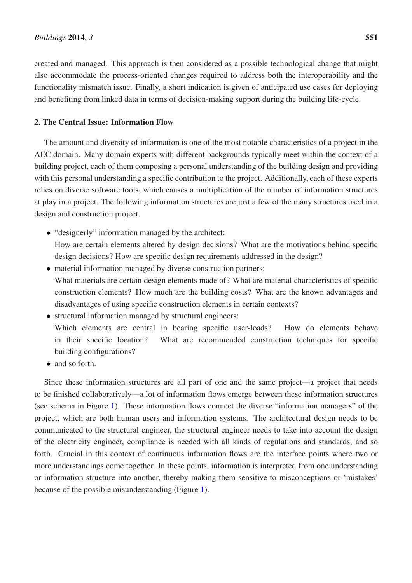created and managed. This approach is then considered as a possible technological change that might also accommodate the process-oriented changes required to address both the interoperability and the functionality mismatch issue. Finally, a short indication is given of anticipated use cases for deploying and benefiting from linked data in terms of decision-making support during the building life-cycle.

# 2. The Central Issue: Information Flow

The amount and diversity of information is one of the most notable characteristics of a project in the AEC domain. Many domain experts with different backgrounds typically meet within the context of a building project, each of them composing a personal understanding of the building design and providing with this personal understanding a specific contribution to the project. Additionally, each of these experts relies on diverse software tools, which causes a multiplication of the number of information structures at play in a project. The following information structures are just a few of the many structures used in a design and construction project.

- "designerly" information managed by the architect: How are certain elements altered by design decisions? What are the motivations behind specific design decisions? How are specific design requirements addressed in the design?
- material information managed by diverse construction partners: What materials are certain design elements made of? What are material characteristics of specific construction elements? How much are the building costs? What are the known advantages and disadvantages of using specific construction elements in certain contexts?
- structural information managed by structural engineers: Which elements are central in bearing specific user-loads? How do elements behave in their specific location? What are recommended construction techniques for specific building configurations?
- and so forth.

Since these information structures are all part of one and the same project—a project that needs to be finished collaboratively—a lot of information flows emerge between these information structures (see schema in Figure 1). These information flows connect the diverse "information managers" of the project, which are both human users and information systems. The architectural design needs to be communicated to the structural engineer, the structural engineer needs to take into account the design of the electricity engineer, compliance is needed with all kinds of regulations and standards, and so forth. Crucial in this context of continuous information flows are the interface points where two or more understandings come together. In these points, information is interpreted from one understanding or information structure into another, thereby making them sensitive to misconceptions or 'mistakes' because of the possible misunderstanding (Figure 1).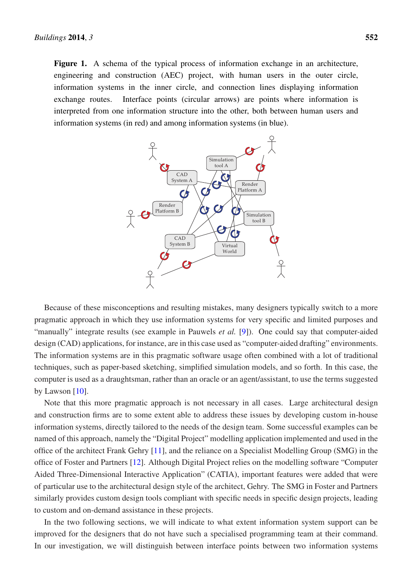Figure 1. A schema of the typical process of information exchange in an architecture, engineering and construction (AEC) project, with human users in the outer circle, information systems in the inner circle, and connection lines displaying information exchange routes. Interface points (circular arrows) are points where information is interpreted from one information structure into the other, both between human users and information systems (in red) and among information systems (in blue).



Because of these misconceptions and resulting mistakes, many designers typically switch to a more pragmatic approach in which they use information systems for very specific and limited purposes and "manually" integrate results (see example in Pauwels *et al.* [9]). One could say that computer-aided design (CAD) applications, for instance, are in this case used as "computer-aided drafting" environments. The information systems are in this pragmatic software usage often combined with a lot of traditional techniques, such as paper-based sketching, simplified simulation models, and so forth. In this case, the computer is used as a draughtsman, rather than an oracle or an agent/assistant, to use the terms suggested by Lawson  $[10]$ .

Note that this more pragmatic approach is not necessary in all cases. Large architectural design and construction firms are to some extent able to address these issues by developing custom in-house information systems, directly tailored to the needs of the design team. Some successful examples can be named of this approach, namely the "Digital Project" modelling application implemented and used in the office of the architect Frank Gehry [11], and the reliance on a Specialist Modelling Group (SMG) in the office of Foster and Partners [12]. Although Digital Project relies on the modelling software "Computer Aided Three-Dimensional Interactive Application" (CATIA), important features were added that were of particular use to the architectural design style of the architect, Gehry. The SMG in Foster and Partners similarly provides custom design tools compliant with specific needs in specific design projects, leading to custom and on-demand assistance in these projects.

In the two following sections, we will indicate to what extent information system support can be improved for the designers that do not have such a specialised programming team at their command. In our investigation, we will distinguish between interface points between two information systems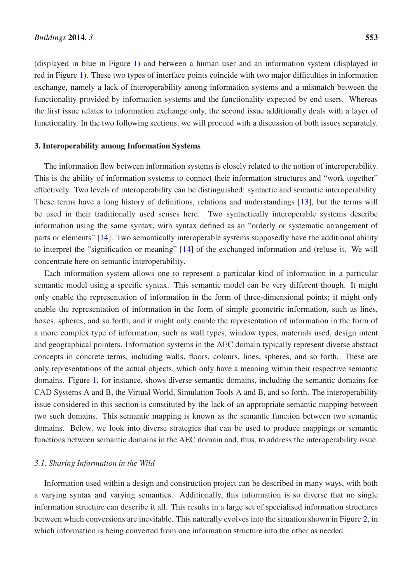(displayed in blue in Figure 1) and between a human user and an information system (displayed in red in Figure 1). These two types of interface points coincide with two major difficulties in information exchange, namely a lack of interoperability among information systems and a mismatch between the functionality provided by information systems and the functionality expected by end users. Whereas the first issue relates to information exchange only, the second issue additionally deals with a layer of functionality. In the two following sections, we will proceed with a discussion of both issues separately.

# 3. Interoperability among Information Systems

The information flow between information systems is closely related to the notion of interoperability. This is the ability of information systems to connect their information structures and "work together" effectively. Two levels of interoperability can be distinguished: syntactic and semantic interoperability. These terms have a long history of definitions, relations and understandings [13], but the terms will be used in their traditionally used senses here. Two syntactically interoperable systems describe information using the same syntax, with syntax defined as an "orderly or systematic arrangement of parts or elements" [14]. Two semantically interoperable systems supposedly have the additional ability to interpret the "signification or meaning" [14] of the exchanged information and (re)use it. We will concentrate here on semantic interoperability.

Each information system allows one to represent a particular kind of information in a particular semantic model using a specific syntax. This semantic model can be very different though. It might only enable the representation of information in the form of three-dimensional points; it might only enable the representation of information in the form of simple geometric information, such as lines, boxes, spheres, and so forth; and it might only enable the representation of information in the form of a more complex type of information, such as wall types, window types, materials used, design intent and geographical pointers. Information systems in the AEC domain typically represent diverse abstract concepts in concrete terms, including walls, floors, colours, lines, spheres, and so forth. These are only representations of the actual objects, which only have a meaning within their respective semantic domains. Figure 1, for instance, shows diverse semantic domains, including the semantic domains for CAD Systems A and B, the Virtual World, Simulation Tools A and B, and so forth. The interoperability issue considered in this section is constituted by the lack of an appropriate semantic mapping between two such domains. This semantic mapping is known as the semantic function between two semantic domains. Below, we look into diverse strategies that can be used to produce mappings or semantic functions between semantic domains in the AEC domain and, thus, to address the interoperability issue.

# *3.1. Sharing Information in the Wild*

Information used within a design and construction project can be described in many ways, with both a varying syntax and varying semantics. Additionally, this information is so diverse that no single information structure can describe it all. This results in a large set of specialised information structures between which conversions are inevitable. This naturally evolves into the situation shown in Figure 2, in which information is being converted from one information structure into the other as needed.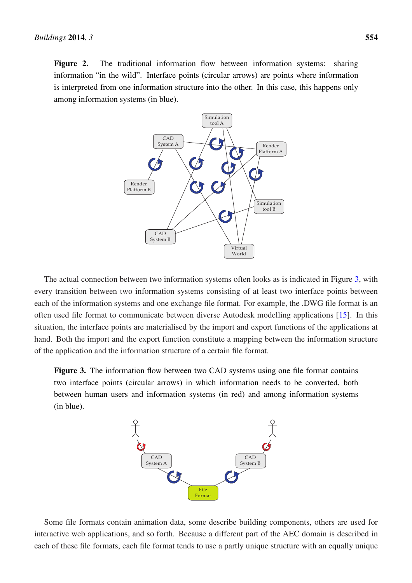Figure 2. The traditional information flow between information systems: sharing information "in the wild". Interface points (circular arrows) are points where information is interpreted from one information structure into the other. In this case, this happens only among information systems (in blue).



The actual connection between two information systems often looks as is indicated in Figure 3, with every transition between two information systems consisting of at least two interface points between each of the information systems and one exchange file format. For example, the .DWG file format is an often used file format to communicate between diverse Autodesk modelling applications [15]. In this situation, the interface points are materialised by the import and export functions of the applications at hand. Both the import and the export function constitute a mapping between the information structure of the application and the information structure of a certain file format.

Figure 3. The information flow between two CAD systems using one file format contains two interface points (circular arrows) in which information needs to be converted, both between human users and information systems (in red) and among information systems (in blue).



Some file formats contain animation data, some describe building components, others are used for interactive web applications, and so forth. Because a different part of the AEC domain is described in each of these file formats, each file format tends to use a partly unique structure with an equally unique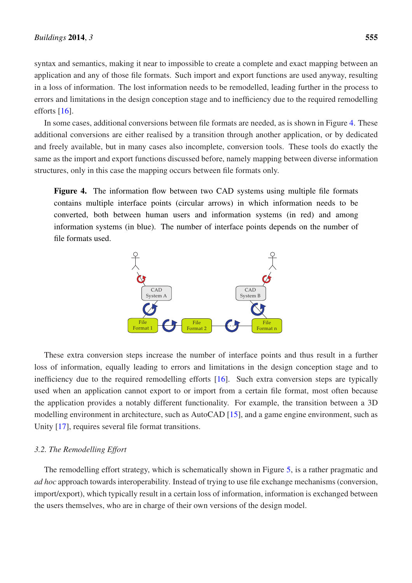syntax and semantics, making it near to impossible to create a complete and exact mapping between an application and any of those file formats. Such import and export functions are used anyway, resulting in a loss of information. The lost information needs to be remodelled, leading further in the process to errors and limitations in the design conception stage and to inefficiency due to the required remodelling efforts [16].

In some cases, additional conversions between file formats are needed, as is shown in Figure 4. These additional conversions are either realised by a transition through another application, or by dedicated and freely available, but in many cases also incomplete, conversion tools. These tools do exactly the same as the import and export functions discussed before, namely mapping between diverse information structures, only in this case the mapping occurs between file formats only.

Figure 4. The information flow between two CAD systems using multiple file formats contains multiple interface points (circular arrows) in which information needs to be converted, both between human users and information systems (in red) and among information systems (in blue). The number of interface points depends on the number of file formats used.



These extra conversion steps increase the number of interface points and thus result in a further loss of information, equally leading to errors and limitations in the design conception stage and to inefficiency due to the required remodelling efforts [16]. Such extra conversion steps are typically used when an application cannot export to or import from a certain file format, most often because the application provides a notably different functionality. For example, the transition between a 3D modelling environment in architecture, such as AutoCAD [15], and a game engine environment, such as Unity [17], requires several file format transitions.

## *3.2. The Remodelling Effort*

The remodelling effort strategy, which is schematically shown in Figure 5, is a rather pragmatic and *ad hoc* approach towards interoperability. Instead of trying to use file exchange mechanisms (conversion, import/export), which typically result in a certain loss of information, information is exchanged between the users themselves, who are in charge of their own versions of the design model.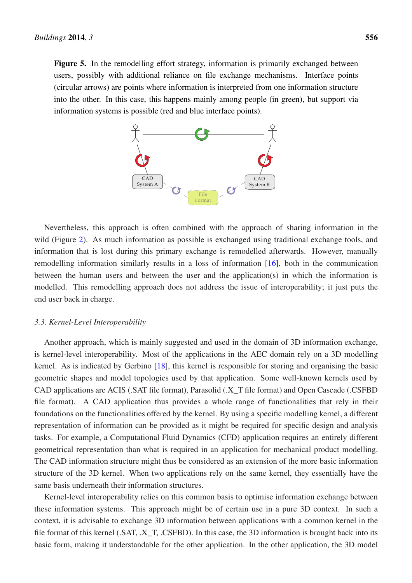Figure 5. In the remodelling effort strategy, information is primarily exchanged between users, possibly with additional reliance on file exchange mechanisms. Interface points (circular arrows) are points where information is interpreted from one information structure into the other. In this case, this happens mainly among people (in green), but support via information systems is possible (red and blue interface points).



Nevertheless, this approach is often combined with the approach of sharing information in the wild (Figure 2). As much information as possible is exchanged using traditional exchange tools, and information that is lost during this primary exchange is remodelled afterwards. However, manually remodelling information similarly results in a loss of information [16], both in the communication between the human users and between the user and the application(s) in which the information is modelled. This remodelling approach does not address the issue of interoperability; it just puts the end user back in charge.

#### *3.3. Kernel-Level Interoperability*

Another approach, which is mainly suggested and used in the domain of 3D information exchange, is kernel-level interoperability. Most of the applications in the AEC domain rely on a 3D modelling kernel. As is indicated by Gerbino [18], this kernel is responsible for storing and organising the basic geometric shapes and model topologies used by that application. Some well-known kernels used by CAD applications are ACIS (.SAT file format), Parasolid (.X\_T file format) and Open Cascade (.CSFBD file format). A CAD application thus provides a whole range of functionalities that rely in their foundations on the functionalities offered by the kernel. By using a specific modelling kernel, a different representation of information can be provided as it might be required for specific design and analysis tasks. For example, a Computational Fluid Dynamics (CFD) application requires an entirely different geometrical representation than what is required in an application for mechanical product modelling. The CAD information structure might thus be considered as an extension of the more basic information structure of the 3D kernel. When two applications rely on the same kernel, they essentially have the same basis underneath their information structures.

Kernel-level interoperability relies on this common basis to optimise information exchange between these information systems. This approach might be of certain use in a pure 3D context. In such a context, it is advisable to exchange 3D information between applications with a common kernel in the file format of this kernel (.SAT, .X\_T, .CSFBD). In this case, the 3D information is brought back into its basic form, making it understandable for the other application. In the other application, the 3D model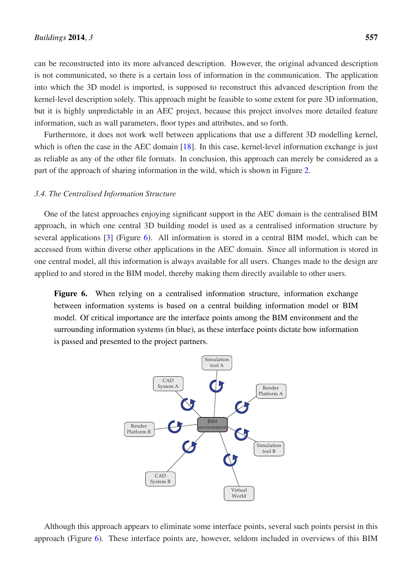can be reconstructed into its more advanced description. However, the original advanced description is not communicated, so there is a certain loss of information in the communication. The application into which the 3D model is imported, is supposed to reconstruct this advanced description from the kernel-level description solely. This approach might be feasible to some extent for pure 3D information, but it is highly unpredictable in an AEC project, because this project involves more detailed feature information, such as wall parameters, floor types and attributes, and so forth.

Furthermore, it does not work well between applications that use a different 3D modelling kernel, which is often the case in the AEC domain [18]. In this case, kernel-level information exchange is just as reliable as any of the other file formats. In conclusion, this approach can merely be considered as a part of the approach of sharing information in the wild, which is shown in Figure 2.

#### *3.4. The Centralised Information Structure*

One of the latest approaches enjoying significant support in the AEC domain is the centralised BIM approach, in which one central 3D building model is used as a centralised information structure by several applications [3] (Figure 6). All information is stored in a central BIM model, which can be accessed from within diverse other applications in the AEC domain. Since all information is stored in one central model, all this information is always available for all users. Changes made to the design are applied to and stored in the BIM model, thereby making them directly available to other users.

Figure 6. When relying on a centralised information structure, information exchange between information systems is based on a central building information model or BIM model. Of critical importance are the interface points among the BIM environment and the surrounding information systems (in blue), as these interface points dictate how information is passed and presented to the project partners.



Although this approach appears to eliminate some interface points, several such points persist in this approach (Figure 6). These interface points are, however, seldom included in overviews of this BIM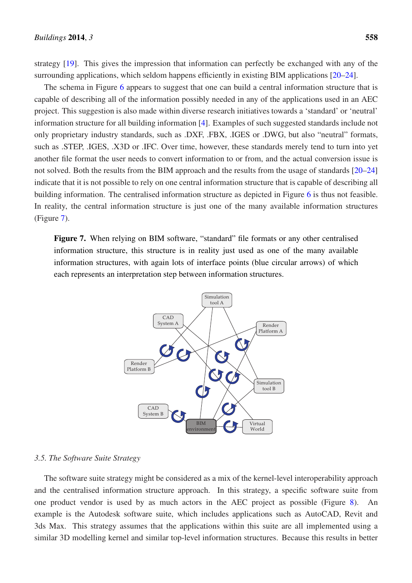strategy [19]. This gives the impression that information can perfectly be exchanged with any of the surrounding applications, which seldom happens efficiently in existing BIM applications [20–24].

The schema in Figure 6 appears to suggest that one can build a central information structure that is capable of describing all of the information possibly needed in any of the applications used in an AEC project. This suggestion is also made within diverse research initiatives towards a 'standard' or 'neutral' information structure for all building information [4]. Examples of such suggested standards include not only proprietary industry standards, such as .DXF, .FBX, .IGES or .DWG, but also "neutral" formats, such as .STEP, .IGES, .X3D or .IFC. Over time, however, these standards merely tend to turn into yet another file format the user needs to convert information to or from, and the actual conversion issue is not solved. Both the results from the BIM approach and the results from the usage of standards [20–24] indicate that it is not possible to rely on one central information structure that is capable of describing all building information. The centralised information structure as depicted in Figure 6 is thus not feasible. In reality, the central information structure is just one of the many available information structures (Figure 7).

Figure 7. When relying on BIM software, "standard" file formats or any other centralised information structure, this structure is in reality just used as one of the many available information structures, with again lots of interface points (blue circular arrows) of which each represents an interpretation step between information structures.



#### *3.5. The Software Suite Strategy*

The software suite strategy might be considered as a mix of the kernel-level interoperability approach and the centralised information structure approach. In this strategy, a specific software suite from one product vendor is used by as much actors in the AEC project as possible (Figure 8). An example is the Autodesk software suite, which includes applications such as AutoCAD, Revit and 3ds Max. This strategy assumes that the applications within this suite are all implemented using a similar 3D modelling kernel and similar top-level information structures. Because this results in better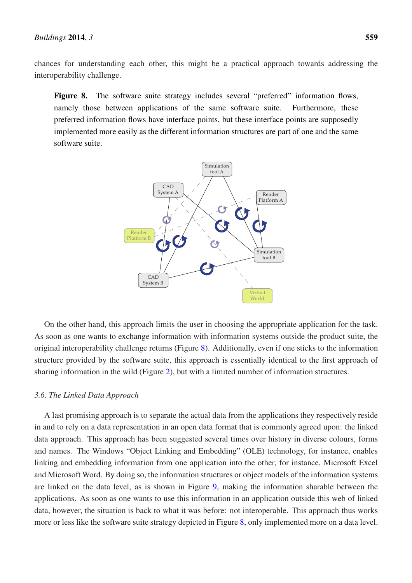chances for understanding each other, this might be a practical approach towards addressing the interoperability challenge.

Figure 8. The software suite strategy includes several "preferred" information flows, namely those between applications of the same software suite. Furthermore, these preferred information flows have interface points, but these interface points are supposedly implemented more easily as the different information structures are part of one and the same software suite.



On the other hand, this approach limits the user in choosing the appropriate application for the task. As soon as one wants to exchange information with information systems outside the product suite, the original interoperability challenge returns (Figure 8). Additionally, even if one sticks to the information structure provided by the software suite, this approach is essentially identical to the first approach of sharing information in the wild (Figure 2), but with a limited number of information structures.

#### *3.6. The Linked Data Approach*

A last promising approach is to separate the actual data from the applications they respectively reside in and to rely on a data representation in an open data format that is commonly agreed upon: the linked data approach. This approach has been suggested several times over history in diverse colours, forms and names. The Windows "Object Linking and Embedding" (OLE) technology, for instance, enables linking and embedding information from one application into the other, for instance, Microsoft Excel and Microsoft Word. By doing so, the information structures or object models of the information systems are linked on the data level, as is shown in Figure 9, making the information sharable between the applications. As soon as one wants to use this information in an application outside this web of linked data, however, the situation is back to what it was before: not interoperable. This approach thus works more or less like the software suite strategy depicted in Figure 8, only implemented more on a data level.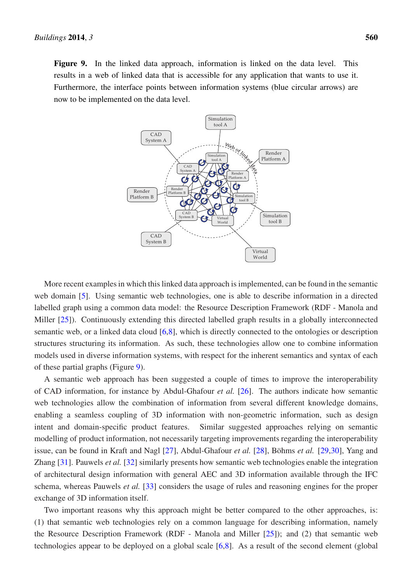Figure 9. In the linked data approach, information is linked on the data level. This results in a web of linked data that is accessible for any application that wants to use it. Furthermore, the interface points between information systems (blue circular arrows) are now to be implemented on the data level.



More recent examples in which this linked data approach is implemented, can be found in the semantic web domain [5]. Using semantic web technologies, one is able to describe information in a directed labelled graph using a common data model: the Resource Description Framework (RDF - Manola and Miller [25]). Continuously extending this directed labelled graph results in a globally interconnected semantic web, or a linked data cloud [6,8], which is directly connected to the ontologies or description structures structuring its information. As such, these technologies allow one to combine information models used in diverse information systems, with respect for the inherent semantics and syntax of each of these partial graphs (Figure 9).

A semantic web approach has been suggested a couple of times to improve the interoperability of CAD information, for instance by Abdul-Ghafour *et al.* [26]. The authors indicate how semantic web technologies allow the combination of information from several different knowledge domains, enabling a seamless coupling of 3D information with non-geometric information, such as design intent and domain-specific product features. Similar suggested approaches relying on semantic modelling of product information, not necessarily targeting improvements regarding the interoperability issue, can be found in Kraft and Nagl [27], Abdul-Ghafour *et al.* [28], Böhms *et al.* [29,30], Yang and Zhang [31]. Pauwels *et al.* [32] similarly presents how semantic web technologies enable the integration of architectural design information with general AEC and 3D information available through the IFC schema, whereas Pauwels *et al.* [33] considers the usage of rules and reasoning engines for the proper exchange of 3D information itself.

Two important reasons why this approach might be better compared to the other approaches, is: (1) that semantic web technologies rely on a common language for describing information, namely the Resource Description Framework (RDF - Manola and Miller [25]); and (2) that semantic web technologies appear to be deployed on a global scale [6,8]. As a result of the second element (global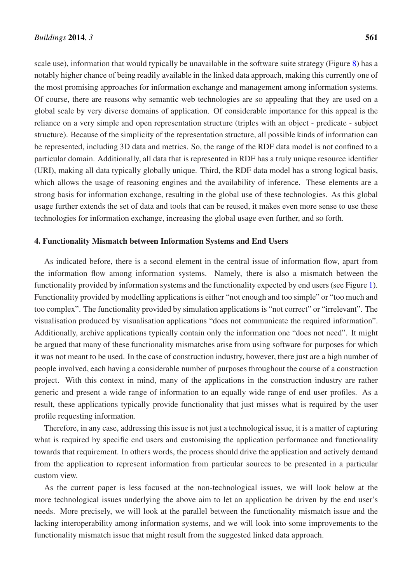scale use), information that would typically be unavailable in the software suite strategy (Figure 8) has a notably higher chance of being readily available in the linked data approach, making this currently one of the most promising approaches for information exchange and management among information systems. Of course, there are reasons why semantic web technologies are so appealing that they are used on a global scale by very diverse domains of application. Of considerable importance for this appeal is the reliance on a very simple and open representation structure (triples with an object - predicate - subject structure). Because of the simplicity of the representation structure, all possible kinds of information can be represented, including 3D data and metrics. So, the range of the RDF data model is not confined to a particular domain. Additionally, all data that is represented in RDF has a truly unique resource identifier (URI), making all data typically globally unique. Third, the RDF data model has a strong logical basis, which allows the usage of reasoning engines and the availability of inference. These elements are a strong basis for information exchange, resulting in the global use of these technologies. As this global usage further extends the set of data and tools that can be reused, it makes even more sense to use these technologies for information exchange, increasing the global usage even further, and so forth.

# 4. Functionality Mismatch between Information Systems and End Users

As indicated before, there is a second element in the central issue of information flow, apart from the information flow among information systems. Namely, there is also a mismatch between the functionality provided by information systems and the functionality expected by end users (see Figure 1). Functionality provided by modelling applications is either "not enough and too simple" or "too much and too complex". The functionality provided by simulation applications is "not correct" or "irrelevant". The visualisation produced by visualisation applications "does not communicate the required information". Additionally, archive applications typically contain only the information one "does not need". It might be argued that many of these functionality mismatches arise from using software for purposes for which it was not meant to be used. In the case of construction industry, however, there just are a high number of people involved, each having a considerable number of purposes throughout the course of a construction project. With this context in mind, many of the applications in the construction industry are rather generic and present a wide range of information to an equally wide range of end user profiles. As a result, these applications typically provide functionality that just misses what is required by the user profile requesting information.

Therefore, in any case, addressing this issue is not just a technological issue, it is a matter of capturing what is required by specific end users and customising the application performance and functionality towards that requirement. In others words, the process should drive the application and actively demand from the application to represent information from particular sources to be presented in a particular custom view.

As the current paper is less focused at the non-technological issues, we will look below at the more technological issues underlying the above aim to let an application be driven by the end user's needs. More precisely, we will look at the parallel between the functionality mismatch issue and the lacking interoperability among information systems, and we will look into some improvements to the functionality mismatch issue that might result from the suggested linked data approach.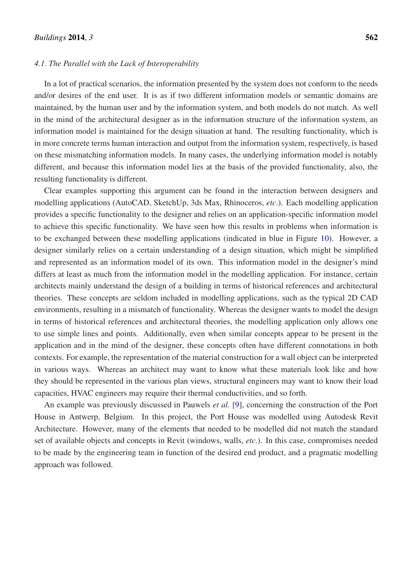#### *4.1. The Parallel with the Lack of Interoperability*

In a lot of practical scenarios, the information presented by the system does not conform to the needs and/or desires of the end user. It is as if two different information models or semantic domains are maintained, by the human user and by the information system, and both models do not match. As well in the mind of the architectural designer as in the information structure of the information system, an information model is maintained for the design situation at hand. The resulting functionality, which is in more concrete terms human interaction and output from the information system, respectively, is based on these mismatching information models. In many cases, the underlying information model is notably different, and because this information model lies at the basis of the provided functionality, also, the resulting functionality is different.

Clear examples supporting this argument can be found in the interaction between designers and modelling applications (AutoCAD, SketchUp, 3ds Max, Rhinoceros, *etc*.). Each modelling application provides a specific functionality to the designer and relies on an application-specific information model to achieve this specific functionality. We have seen how this results in problems when information is to be exchanged between these modelling applications (indicated in blue in Figure 10). However, a designer similarly relies on a certain understanding of a design situation, which might be simplified and represented as an information model of its own. This information model in the designer's mind differs at least as much from the information model in the modelling application. For instance, certain architects mainly understand the design of a building in terms of historical references and architectural theories. These concepts are seldom included in modelling applications, such as the typical 2D CAD environments, resulting in a mismatch of functionality. Whereas the designer wants to model the design in terms of historical references and architectural theories, the modelling application only allows one to use simple lines and points. Additionally, even when similar concepts appear to be present in the application and in the mind of the designer, these concepts often have different connotations in both contexts. For example, the representation of the material construction for a wall object can be interpreted in various ways. Whereas an architect may want to know what these materials look like and how they should be represented in the various plan views, structural engineers may want to know their load capacities, HVAC engineers may require their thermal conductivities, and so forth.

An example was previously discussed in Pauwels *et al.* [9], concerning the construction of the Port House in Antwerp, Belgium. In this project, the Port House was modelled using Autodesk Revit Architecture. However, many of the elements that needed to be modelled did not match the standard set of available objects and concepts in Revit (windows, walls, *etc*.). In this case, compromises needed to be made by the engineering team in function of the desired end product, and a pragmatic modelling approach was followed.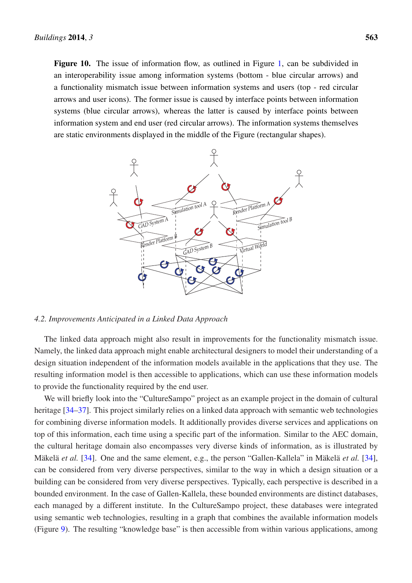Figure 10. The issue of information flow, as outlined in Figure 1, can be subdivided in an interoperability issue among information systems (bottom - blue circular arrows) and a functionality mismatch issue between information systems and users (top - red circular arrows and user icons). The former issue is caused by interface points between information systems (blue circular arrows), whereas the latter is caused by interface points between information system and end user (red circular arrows). The information systems themselves are static environments displayed in the middle of the Figure (rectangular shapes).



#### *4.2. Improvements Anticipated in a Linked Data Approach*

The linked data approach might also result in improvements for the functionality mismatch issue. Namely, the linked data approach might enable architectural designers to model their understanding of a design situation independent of the information models available in the applications that they use. The resulting information model is then accessible to applications, which can use these information models to provide the functionality required by the end user.

We will briefly look into the "CultureSampo" project as an example project in the domain of cultural heritage [34–37]. This project similarly relies on a linked data approach with semantic web technologies for combining diverse information models. It additionally provides diverse services and applications on top of this information, each time using a specific part of the information. Similar to the AEC domain, the cultural heritage domain also encompasses very diverse kinds of information, as is illustrated by Mäkelä *et al.* [34]. One and the same element, e.g., the person "Gallen-Kallela" in Mäkelä *et al.* [34], can be considered from very diverse perspectives, similar to the way in which a design situation or a building can be considered from very diverse perspectives. Typically, each perspective is described in a bounded environment. In the case of Gallen-Kallela, these bounded environments are distinct databases, each managed by a different institute. In the CultureSampo project, these databases were integrated using semantic web technologies, resulting in a graph that combines the available information models (Figure 9). The resulting "knowledge base" is then accessible from within various applications, among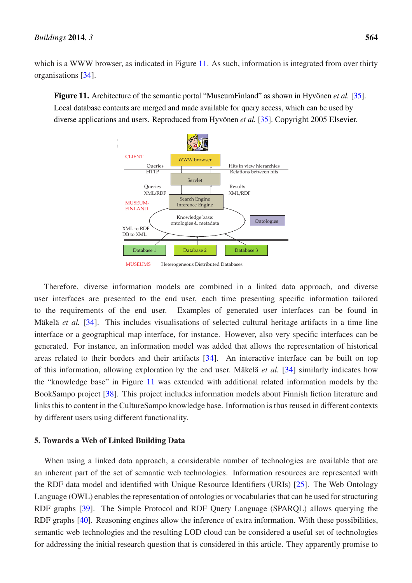which is a WWW browser, as indicated in Figure 11. As such, information is integrated from over thirty organisations [34].

Figure 11. Architecture of the semantic portal "MuseumFinland" as shown in Hyvönen *et al.* [35]. Local database contents are merged and made available for query access, which can be used by diverse applications and users. Reproduced from Hyvönen *et al.* [35]. Copyright 2005 Elsevier.





Therefore, diverse information models are combined in a linked data approach, and diverse user interfaces are presented to the end user, each time presenting specific information tailored to the requirements of the end user. Examples of generated user interfaces can be found in Mäkelä *et al.* [34]. This includes visualisations of selected cultural heritage artifacts in a time line interface or a geographical map interface, for instance. However, also very specific interfaces can be generated. For instance, an information model was added that allows the representation of historical areas related to their borders and their artifacts [34]. An interactive interface can be built on top of this information, allowing exploration by the end user. Mäkelä *et al.* [34] similarly indicates how the "knowledge base" in Figure 11 was extended with additional related information models by the BookSampo project [38]. This project includes information models about Finnish fiction literature and links this to content in the CultureSampo knowledge base. Information is thus reused in different contexts by different users using different functionality.

#### 5. Towards a Web of Linked Building Data

When using a linked data approach, a considerable number of technologies are available that are an inherent part of the set of semantic web technologies. Information resources are represented with the RDF data model and identified with Unique Resource Identifiers (URIs) [25]. The Web Ontology Language (OWL) enables the representation of ontologies or vocabularies that can be used for structuring RDF graphs [39]. The Simple Protocol and RDF Query Language (SPARQL) allows querying the RDF graphs [40]. Reasoning engines allow the inference of extra information. With these possibilities, semantic web technologies and the resulting LOD cloud can be considered a useful set of technologies for addressing the initial research question that is considered in this article. They apparently promise to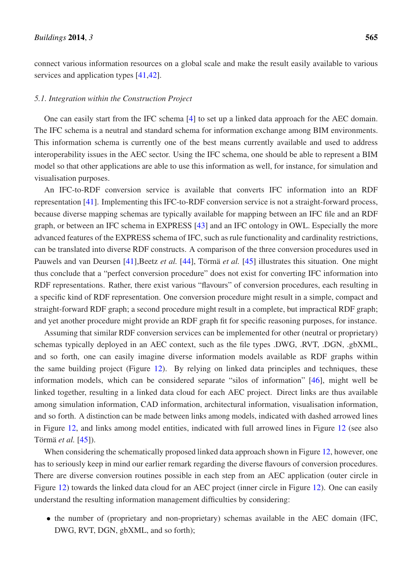connect various information resources on a global scale and make the result easily available to various services and application types [41,42].

### *5.1. Integration within the Construction Project*

One can easily start from the IFC schema [4] to set up a linked data approach for the AEC domain. The IFC schema is a neutral and standard schema for information exchange among BIM environments. This information schema is currently one of the best means currently available and used to address interoperability issues in the AEC sector. Using the IFC schema, one should be able to represent a BIM model so that other applications are able to use this information as well, for instance, for simulation and visualisation purposes.

An IFC-to-RDF conversion service is available that converts IFC information into an RDF representation [41]. Implementing this IFC-to-RDF conversion service is not a straight-forward process, because diverse mapping schemas are typically available for mapping between an IFC file and an RDF graph, or between an IFC schema in EXPRESS [43] and an IFC ontology in OWL. Especially the more advanced features of the EXPRESS schema of IFC, such as rule functionality and cardinality restrictions, can be translated into diverse RDF constructs. A comparison of the three conversion procedures used in Pauwels and van Deursen [41],Beetz *et al.* [44], Törmä *et al.* [45] illustrates this situation. One might thus conclude that a "perfect conversion procedure" does not exist for converting IFC information into RDF representations. Rather, there exist various "flavours" of conversion procedures, each resulting in a specific kind of RDF representation. One conversion procedure might result in a simple, compact and straight-forward RDF graph; a second procedure might result in a complete, but impractical RDF graph; and yet another procedure might provide an RDF graph fit for specific reasoning purposes, for instance.

Assuming that similar RDF conversion services can be implemented for other (neutral or proprietary) schemas typically deployed in an AEC context, such as the file types .DWG, .RVT, .DGN, .gbXML, and so forth, one can easily imagine diverse information models available as RDF graphs within the same building project (Figure 12). By relying on linked data principles and techniques, these information models, which can be considered separate "silos of information" [46], might well be linked together, resulting in a linked data cloud for each AEC project. Direct links are thus available among simulation information, CAD information, architectural information, visualisation information, and so forth. A distinction can be made between links among models, indicated with dashed arrowed lines in Figure 12, and links among model entities, indicated with full arrowed lines in Figure 12 (see also Törmä *et al.* [45]).

When considering the schematically proposed linked data approach shown in Figure 12, however, one has to seriously keep in mind our earlier remark regarding the diverse flavours of conversion procedures. There are diverse conversion routines possible in each step from an AEC application (outer circle in Figure 12) towards the linked data cloud for an AEC project (inner circle in Figure 12). One can easily understand the resulting information management difficulties by considering:

• the number of (proprietary and non-proprietary) schemas available in the AEC domain (IFC, DWG, RVT, DGN, gbXML, and so forth);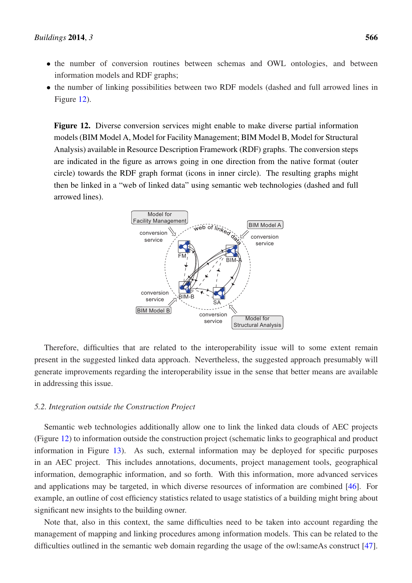- the number of conversion routines between schemas and OWL ontologies, and between information models and RDF graphs;
- the number of linking possibilities between two RDF models (dashed and full arrowed lines in Figure 12).

Figure 12. Diverse conversion services might enable to make diverse partial information models (BIM Model A, Model for Facility Management; BIM Model B, Model for Structural Analysis) available in Resource Description Framework (RDF) graphs. The conversion steps are indicated in the figure as arrows going in one direction from the native format (outer circle) towards the RDF graph format (icons in inner circle). The resulting graphs might then be linked in a "web of linked data" using semantic web technologies (dashed and full arrowed lines).



Therefore, difficulties that are related to the interoperability issue will to some extent remain present in the suggested linked data approach. Nevertheless, the suggested approach presumably will generate improvements regarding the interoperability issue in the sense that better means are available in addressing this issue.

## *5.2. Integration outside the Construction Project*

Semantic web technologies additionally allow one to link the linked data clouds of AEC projects (Figure 12) to information outside the construction project (schematic links to geographical and product information in Figure 13). As such, external information may be deployed for specific purposes in an AEC project. This includes annotations, documents, project management tools, geographical information, demographic information, and so forth. With this information, more advanced services and applications may be targeted, in which diverse resources of information are combined [46]. For example, an outline of cost efficiency statistics related to usage statistics of a building might bring about significant new insights to the building owner.

Note that, also in this context, the same difficulties need to be taken into account regarding the management of mapping and linking procedures among information models. This can be related to the difficulties outlined in the semantic web domain regarding the usage of the owl:sameAs construct [47].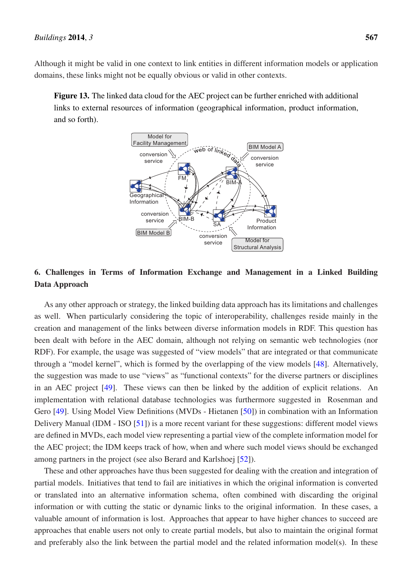Although it might be valid in one context to link entities in different information models or application domains, these links might not be equally obvious or valid in other contexts.

Figure 13. The linked data cloud for the AEC project can be further enriched with additional links to external resources of information (geographical information, product information, and so forth).



# 6. Challenges in Terms of Information Exchange and Management in a Linked Building Data Approach

As any other approach or strategy, the linked building data approach has its limitations and challenges as well. When particularly considering the topic of interoperability, challenges reside mainly in the creation and management of the links between diverse information models in RDF. This question has been dealt with before in the AEC domain, although not relying on semantic web technologies (nor RDF). For example, the usage was suggested of "view models" that are integrated or that communicate through a "model kernel", which is formed by the overlapping of the view models [48]. Alternatively, the suggestion was made to use "views" as "functional contexts" for the diverse partners or disciplines in an AEC project [49]. These views can then be linked by the addition of explicit relations. An implementation with relational database technologies was furthermore suggested in Rosenman and Gero [49]. Using Model View Definitions (MVDs - Hietanen [50]) in combination with an Information Delivery Manual (IDM - ISO [51]) is a more recent variant for these suggestions: different model views are defined in MVDs, each model view representing a partial view of the complete information model for the AEC project; the IDM keeps track of how, when and where such model views should be exchanged among partners in the project (see also Berard and Karlshoej [52]).

These and other approaches have thus been suggested for dealing with the creation and integration of partial models. Initiatives that tend to fail are initiatives in which the original information is converted or translated into an alternative information schema, often combined with discarding the original information or with cutting the static or dynamic links to the original information. In these cases, a valuable amount of information is lost. Approaches that appear to have higher chances to succeed are approaches that enable users not only to create partial models, but also to maintain the original format and preferably also the link between the partial model and the related information model(s). In these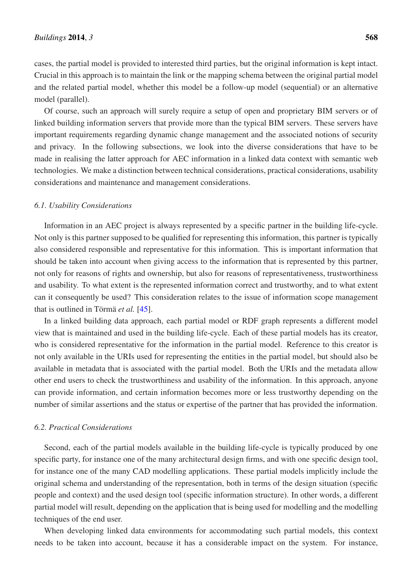cases, the partial model is provided to interested third parties, but the original information is kept intact. Crucial in this approach is to maintain the link or the mapping schema between the original partial model and the related partial model, whether this model be a follow-up model (sequential) or an alternative model (parallel).

Of course, such an approach will surely require a setup of open and proprietary BIM servers or of linked building information servers that provide more than the typical BIM servers. These servers have important requirements regarding dynamic change management and the associated notions of security and privacy. In the following subsections, we look into the diverse considerations that have to be made in realising the latter approach for AEC information in a linked data context with semantic web technologies. We make a distinction between technical considerations, practical considerations, usability considerations and maintenance and management considerations.

#### *6.1. Usability Considerations*

Information in an AEC project is always represented by a specific partner in the building life-cycle. Not only is this partner supposed to be qualified for representing this information, this partner is typically also considered responsible and representative for this information. This is important information that should be taken into account when giving access to the information that is represented by this partner, not only for reasons of rights and ownership, but also for reasons of representativeness, trustworthiness and usability. To what extent is the represented information correct and trustworthy, and to what extent can it consequently be used? This consideration relates to the issue of information scope management that is outlined in Törmä *et al.* [45].

In a linked building data approach, each partial model or RDF graph represents a different model view that is maintained and used in the building life-cycle. Each of these partial models has its creator, who is considered representative for the information in the partial model. Reference to this creator is not only available in the URIs used for representing the entities in the partial model, but should also be available in metadata that is associated with the partial model. Both the URIs and the metadata allow other end users to check the trustworthiness and usability of the information. In this approach, anyone can provide information, and certain information becomes more or less trustworthy depending on the number of similar assertions and the status or expertise of the partner that has provided the information.

### *6.2. Practical Considerations*

Second, each of the partial models available in the building life-cycle is typically produced by one specific party, for instance one of the many architectural design firms, and with one specific design tool, for instance one of the many CAD modelling applications. These partial models implicitly include the original schema and understanding of the representation, both in terms of the design situation (specific people and context) and the used design tool (specific information structure). In other words, a different partial model will result, depending on the application that is being used for modelling and the modelling techniques of the end user.

When developing linked data environments for accommodating such partial models, this context needs to be taken into account, because it has a considerable impact on the system. For instance,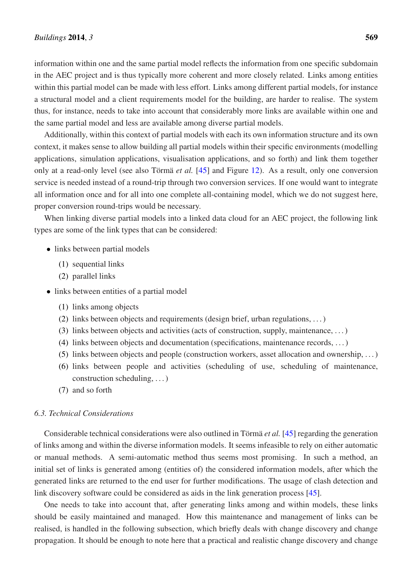information within one and the same partial model reflects the information from one specific subdomain in the AEC project and is thus typically more coherent and more closely related. Links among entities within this partial model can be made with less effort. Links among different partial models, for instance a structural model and a client requirements model for the building, are harder to realise. The system thus, for instance, needs to take into account that considerably more links are available within one and the same partial model and less are available among diverse partial models.

Additionally, within this context of partial models with each its own information structure and its own context, it makes sense to allow building all partial models within their specific environments (modelling applications, simulation applications, visualisation applications, and so forth) and link them together only at a read-only level (see also Törmä *et al.* [45] and Figure 12). As a result, only one conversion service is needed instead of a round-trip through two conversion services. If one would want to integrate all information once and for all into one complete all-containing model, which we do not suggest here, proper conversion round-trips would be necessary.

When linking diverse partial models into a linked data cloud for an AEC project, the following link types are some of the link types that can be considered:

- links between partial models
	- (1) sequential links
	- (2) parallel links
- links between entities of a partial model
	- (1) links among objects
	- (2) links between objects and requirements (design brief, urban regulations, . . . )
	- (3) links between objects and activities (acts of construction, supply, maintenance, . . . )
	- (4) links between objects and documentation (specifications, maintenance records, . . . )
	- (5) links between objects and people (construction workers, asset allocation and ownership, . . . )
	- (6) links between people and activities (scheduling of use, scheduling of maintenance, construction scheduling, . . . )
	- (7) and so forth

# *6.3. Technical Considerations*

Considerable technical considerations were also outlined in Törmä *et al.* [45] regarding the generation of links among and within the diverse information models. It seems infeasible to rely on either automatic or manual methods. A semi-automatic method thus seems most promising. In such a method, an initial set of links is generated among (entities of) the considered information models, after which the generated links are returned to the end user for further modifications. The usage of clash detection and link discovery software could be considered as aids in the link generation process [45].

One needs to take into account that, after generating links among and within models, these links should be easily maintained and managed. How this maintenance and management of links can be realised, is handled in the following subsection, which briefly deals with change discovery and change propagation. It should be enough to note here that a practical and realistic change discovery and change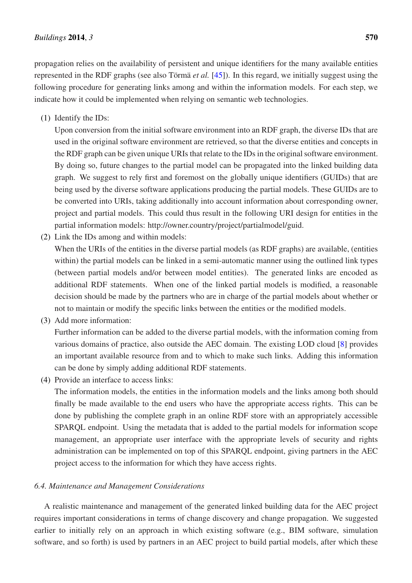propagation relies on the availability of persistent and unique identifiers for the many available entities represented in the RDF graphs (see also Törmä *et al.* [45]). In this regard, we initially suggest using the following procedure for generating links among and within the information models. For each step, we indicate how it could be implemented when relying on semantic web technologies.

(1) Identify the IDs:

Upon conversion from the initial software environment into an RDF graph, the diverse IDs that are used in the original software environment are retrieved, so that the diverse entities and concepts in the RDF graph can be given unique URIs that relate to the IDs in the original software environment. By doing so, future changes to the partial model can be propagated into the linked building data graph. We suggest to rely first and foremost on the globally unique identifiers (GUIDs) that are being used by the diverse software applications producing the partial models. These GUIDs are to be converted into URIs, taking additionally into account information about corresponding owner, project and partial models. This could thus result in the following URI design for entities in the partial information models: http://owner.country/project/partialmodel/guid.

(2) Link the IDs among and within models:

When the URIs of the entities in the diverse partial models (as RDF graphs) are available, (entities within) the partial models can be linked in a semi-automatic manner using the outlined link types (between partial models and/or between model entities). The generated links are encoded as additional RDF statements. When one of the linked partial models is modified, a reasonable decision should be made by the partners who are in charge of the partial models about whether or not to maintain or modify the specific links between the entities or the modified models.

(3) Add more information:

Further information can be added to the diverse partial models, with the information coming from various domains of practice, also outside the AEC domain. The existing LOD cloud [8] provides an important available resource from and to which to make such links. Adding this information can be done by simply adding additional RDF statements.

(4) Provide an interface to access links:

The information models, the entities in the information models and the links among both should finally be made available to the end users who have the appropriate access rights. This can be done by publishing the complete graph in an online RDF store with an appropriately accessible SPARQL endpoint. Using the metadata that is added to the partial models for information scope management, an appropriate user interface with the appropriate levels of security and rights administration can be implemented on top of this SPARQL endpoint, giving partners in the AEC project access to the information for which they have access rights.

# *6.4. Maintenance and Management Considerations*

A realistic maintenance and management of the generated linked building data for the AEC project requires important considerations in terms of change discovery and change propagation. We suggested earlier to initially rely on an approach in which existing software (e.g., BIM software, simulation software, and so forth) is used by partners in an AEC project to build partial models, after which these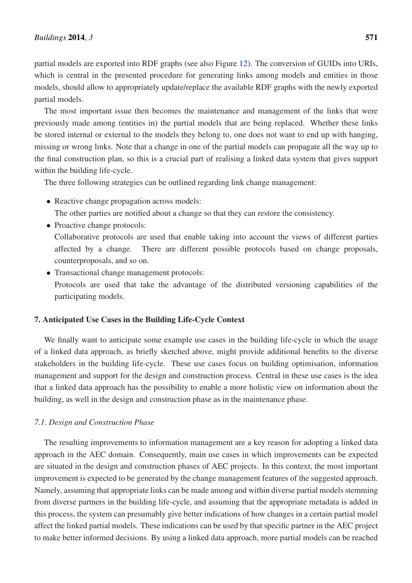partial models are exported into RDF graphs (see also Figure 12). The conversion of GUIDs into URIs, which is central in the presented procedure for generating links among models and entities in those models, should allow to appropriately update/replace the available RDF graphs with the newly exported partial models.

The most important issue then becomes the maintenance and management of the links that were previously made among (entities in) the partial models that are being replaced. Whether these links be stored internal or external to the models they belong to, one does not want to end up with hanging, missing or wrong links. Note that a change in one of the partial models can propagate all the way up to the final construction plan, so this is a crucial part of realising a linked data system that gives support within the building life-cycle.

The three following strategies can be outlined regarding link change management:

• Reactive change propagation across models:

The other parties are notified about a change so that they can restore the consistency.

- Proactive change protocols: Collaborative protocols are used that enable taking into account the views of different parties affected by a change. There are different possible protocols based on change proposals, counterproposals, and so on.
- Transactional change management protocols: Protocols are used that take the advantage of the distributed versioning capabilities of the participating models.

# 7. Anticipated Use Cases in the Building Life-Cycle Context

We finally want to anticipate some example use cases in the building life-cycle in which the usage of a linked data approach, as briefly sketched above, might provide additional benefits to the diverse stakeholders in the building life-cycle. These use cases focus on building optimisation, information management and support for the design and construction process. Central in these use cases is the idea that a linked data approach has the possibility to enable a more holistic view on information about the building, as well in the design and construction phase as in the maintenance phase.

#### *7.1. Design and Construction Phase*

The resulting improvements to information management are a key reason for adopting a linked data approach in the AEC domain. Consequently, main use cases in which improvements can be expected are situated in the design and construction phases of AEC projects. In this context, the most important improvement is expected to be generated by the change management features of the suggested approach. Namely, assuming that appropriate links can be made among and within diverse partial models stemming from diverse partners in the building life-cycle, and assuming that the appropriate metadata is added in this process, the system can presumably give better indications of how changes in a certain partial model affect the linked partial models. These indications can be used by that specific partner in the AEC project to make better informed decisions. By using a linked data approach, more partial models can be reached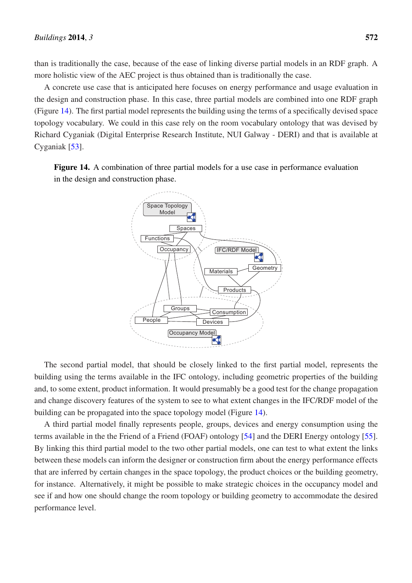than is traditionally the case, because of the ease of linking diverse partial models in an RDF graph. A more holistic view of the AEC project is thus obtained than is traditionally the case.

A concrete use case that is anticipated here focuses on energy performance and usage evaluation in the design and construction phase. In this case, three partial models are combined into one RDF graph (Figure 14). The first partial model represents the building using the terms of a specifically devised space topology vocabulary. We could in this case rely on the room vocabulary ontology that was devised by Richard Cyganiak (Digital Enterprise Research Institute, NUI Galway - DERI) and that is available at Cyganiak [53].

Figure 14. A combination of three partial models for a use case in performance evaluation in the design and construction phase.



The second partial model, that should be closely linked to the first partial model, represents the building using the terms available in the IFC ontology, including geometric properties of the building and, to some extent, product information. It would presumably be a good test for the change propagation and change discovery features of the system to see to what extent changes in the IFC/RDF model of the building can be propagated into the space topology model (Figure 14).

A third partial model finally represents people, groups, devices and energy consumption using the terms available in the the Friend of a Friend (FOAF) ontology [54] and the DERI Energy ontology [55]. By linking this third partial model to the two other partial models, one can test to what extent the links between these models can inform the designer or construction firm about the energy performance effects that are inferred by certain changes in the space topology, the product choices or the building geometry, for instance. Alternatively, it might be possible to make strategic choices in the occupancy model and see if and how one should change the room topology or building geometry to accommodate the desired performance level.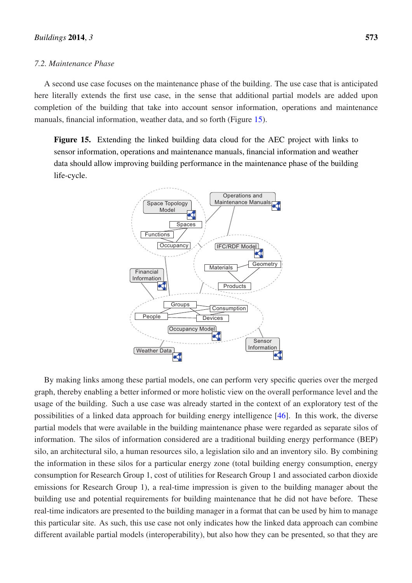#### *7.2. Maintenance Phase*

A second use case focuses on the maintenance phase of the building. The use case that is anticipated here literally extends the first use case, in the sense that additional partial models are added upon completion of the building that take into account sensor information, operations and maintenance manuals, financial information, weather data, and so forth (Figure 15).

Figure 15. Extending the linked building data cloud for the AEC project with links to sensor information, operations and maintenance manuals, financial information and weather data should allow improving building performance in the maintenance phase of the building life-cycle.



By making links among these partial models, one can perform very specific queries over the merged graph, thereby enabling a better informed or more holistic view on the overall performance level and the usage of the building. Such a use case was already started in the context of an exploratory test of the possibilities of a linked data approach for building energy intelligence [46]. In this work, the diverse partial models that were available in the building maintenance phase were regarded as separate silos of information. The silos of information considered are a traditional building energy performance (BEP) silo, an architectural silo, a human resources silo, a legislation silo and an inventory silo. By combining the information in these silos for a particular energy zone (total building energy consumption, energy consumption for Research Group 1, cost of utilities for Research Group 1 and associated carbon dioxide emissions for Research Group 1), a real-time impression is given to the building manager about the building use and potential requirements for building maintenance that he did not have before. These real-time indicators are presented to the building manager in a format that can be used by him to manage this particular site. As such, this use case not only indicates how the linked data approach can combine different available partial models (interoperability), but also how they can be presented, so that they are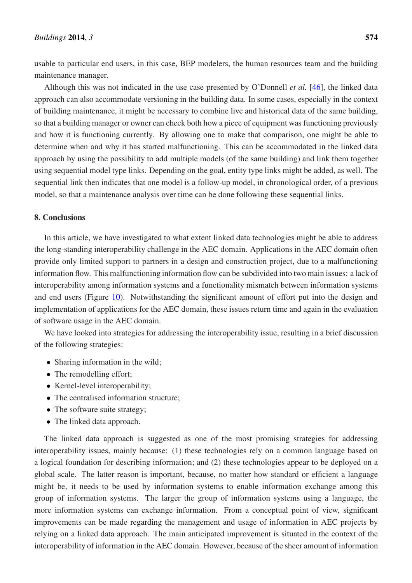usable to particular end users, in this case, BEP modelers, the human resources team and the building maintenance manager.

Although this was not indicated in the use case presented by O'Donnell *et al.* [46], the linked data approach can also accommodate versioning in the building data. In some cases, especially in the context of building maintenance, it might be necessary to combine live and historical data of the same building, so that a building manager or owner can check both how a piece of equipment was functioning previously and how it is functioning currently. By allowing one to make that comparison, one might be able to determine when and why it has started malfunctioning. This can be accommodated in the linked data approach by using the possibility to add multiple models (of the same building) and link them together using sequential model type links. Depending on the goal, entity type links might be added, as well. The sequential link then indicates that one model is a follow-up model, in chronological order, of a previous model, so that a maintenance analysis over time can be done following these sequential links.

# 8. Conclusions

In this article, we have investigated to what extent linked data technologies might be able to address the long-standing interoperability challenge in the AEC domain. Applications in the AEC domain often provide only limited support to partners in a design and construction project, due to a malfunctioning information flow. This malfunctioning information flow can be subdivided into two main issues: a lack of interoperability among information systems and a functionality mismatch between information systems and end users (Figure 10). Notwithstanding the significant amount of effort put into the design and implementation of applications for the AEC domain, these issues return time and again in the evaluation of software usage in the AEC domain.

We have looked into strategies for addressing the interoperability issue, resulting in a brief discussion of the following strategies:

- Sharing information in the wild:
- The remodelling effort;
- Kernel-level interoperability;
- The centralised information structure;
- The software suite strategy;
- The linked data approach.

The linked data approach is suggested as one of the most promising strategies for addressing interoperability issues, mainly because: (1) these technologies rely on a common language based on a logical foundation for describing information; and (2) these technologies appear to be deployed on a global scale. The latter reason is important, because, no matter how standard or efficient a language might be, it needs to be used by information systems to enable information exchange among this group of information systems. The larger the group of information systems using a language, the more information systems can exchange information. From a conceptual point of view, significant improvements can be made regarding the management and usage of information in AEC projects by relying on a linked data approach. The main anticipated improvement is situated in the context of the interoperability of information in the AEC domain. However, because of the sheer amount of information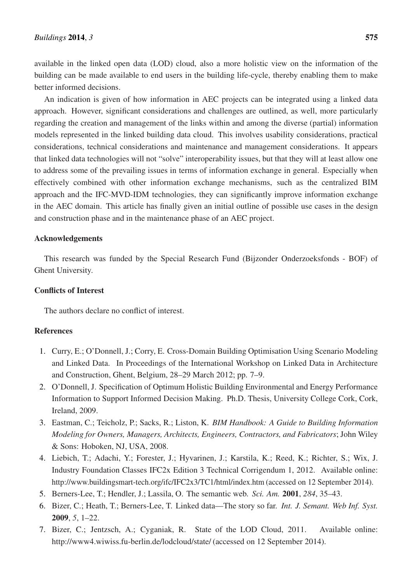available in the linked open data (LOD) cloud, also a more holistic view on the information of the building can be made available to end users in the building life-cycle, thereby enabling them to make better informed decisions.

An indication is given of how information in AEC projects can be integrated using a linked data approach. However, significant considerations and challenges are outlined, as well, more particularly regarding the creation and management of the links within and among the diverse (partial) information models represented in the linked building data cloud. This involves usability considerations, practical considerations, technical considerations and maintenance and management considerations. It appears that linked data technologies will not "solve" interoperability issues, but that they will at least allow one to address some of the prevailing issues in terms of information exchange in general. Especially when effectively combined with other information exchange mechanisms, such as the centralized BIM approach and the IFC-MVD-IDM technologies, they can significantly improve information exchange in the AEC domain. This article has finally given an initial outline of possible use cases in the design and construction phase and in the maintenance phase of an AEC project.

# Acknowledgements

This research was funded by the Special Research Fund (Bijzonder Onderzoeksfonds - BOF) of Ghent University.

# Conflicts of Interest

The authors declare no conflict of interest.

# References

- 1. Curry, E.; O'Donnell, J.; Corry, E. Cross-Domain Building Optimisation Using Scenario Modeling and Linked Data. In Proceedings of the International Workshop on Linked Data in Architecture and Construction, Ghent, Belgium, 28–29 March 2012; pp. 7–9.
- 2. O'Donnell, J. Specification of Optimum Holistic Building Environmental and Energy Performance Information to Support Informed Decision Making. Ph.D. Thesis, University College Cork, Cork, Ireland, 2009.
- 3. Eastman, C.; Teicholz, P.; Sacks, R.; Liston, K. *BIM Handbook: A Guide to Building Information Modeling for Owners, Managers, Architects, Engineers, Contractors, and Fabricators*; John Wiley & Sons: Hoboken, NJ, USA, 2008.
- 4. Liebich, T.; Adachi, Y.; Forester, J.; Hyvarinen, J.; Karstila, K.; Reed, K.; Richter, S.; Wix, J. Industry Foundation Classes IFC2x Edition 3 Technical Corrigendum 1, 2012. Available online: http://www.buildingsmart-tech.org/ifc/IFC2x3/TC1/html/index.htm (accessed on 12 September 2014).
- 5. Berners-Lee, T.; Hendler, J.; Lassila, O. The semantic web. *Sci. Am.* 2001, *284*, 35–43.
- 6. Bizer, C.; Heath, T.; Berners-Lee, T. Linked data—The story so far. *Int. J. Semant. Web Inf. Syst.* 2009, *5*, 1–22.
- 7. Bizer, C.; Jentzsch, A.; Cyganiak, R. State of the LOD Cloud, 2011. Available online: http://www4.wiwiss.fu-berlin.de/lodcloud/state/ (accessed on 12 September 2014).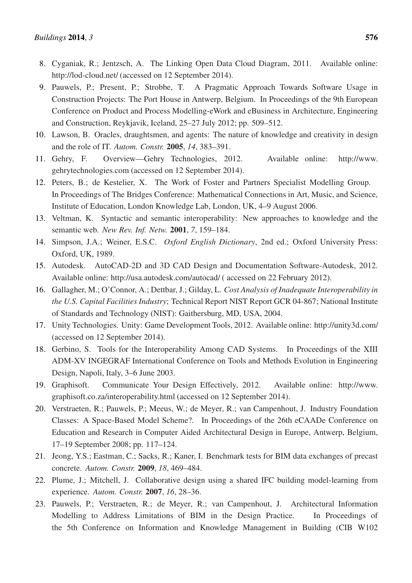- 8. Cyganiak, R.; Jentzsch, A. The Linking Open Data Cloud Diagram, 2011. Available online: http://lod-cloud.net/ (accessed on 12 September 2014).
- 9. Pauwels, P.; Present, P.; Strobbe, T. A Pragmatic Approach Towards Software Usage in Construction Projects: The Port House in Antwerp, Belgium. In Proceedings of the 9th European Conference on Product and Process Modelling-eWork and eBusiness in Architecture, Engineering and Construction, Reykjavik, Iceland, 25–27 July 2012; pp. 509–512.
- 10. Lawson, B. Oracles, draughtsmen, and agents: The nature of knowledge and creativity in design and the role of IT. *Autom. Constr.* 2005, *14*, 383–391.
- 11. Gehry, F. Overview—Gehry Technologies, 2012. Available online: http://www. gehrytechnologies.com (accessed on 12 September 2014).
- 12. Peters, B.; de Kestelier, X. The Work of Foster and Partners Specialist Modelling Group. In Proceedings of The Bridges Conference: Mathematical Connections in Art, Music, and Science, Institute of Education, London Knowledge Lab, London, UK, 4–9 August 2006.
- 13. Veltman, K. Syntactic and semantic interoperability: New approaches to knowledge and the semantic web. *New Rev. Inf. Netw.* 2001, *7*, 159–184.
- 14. Simpson, J.A.; Weiner, E.S.C. *Oxford English Dictionary*, 2nd ed.; Oxford University Press: Oxford, UK, 1989.
- 15. Autodesk. AutoCAD-2D and 3D CAD Design and Documentation Software-Autodesk, 2012. Available online: http://usa.autodesk.com/autocad/ ( accessed on 22 February 2012).
- 16. Gallagher, M.; O'Connor, A.; Dettbar, J.; Gilday, L. *Cost Analysis of Inadequate Interoperability in the U.S. Capital Facilities Industry*; Technical Report NIST Report GCR 04-867; National Institute of Standards and Technology (NIST): Gaithersburg, MD, USA, 2004.
- 17. Unity Technologies. Unity: Game Development Tools, 2012. Available online: http://unity3d.com/ (accessed on 12 September 2014).
- 18. Gerbino, S. Tools for the Interoperability Among CAD Systems. In Proceedings of the XIII ADM-XV INGEGRAF International Conference on Tools and Methods Evolution in Engineering Design, Napoli, Italy, 3–6 June 2003.
- 19. Graphisoft. Communicate Your Design Effectively, 2012. Available online: http://www. graphisoft.co.za/interoperability.html (accessed on 12 September 2014).
- 20. Verstraeten, R.; Pauwels, P.; Meeus, W.; de Meyer, R.; van Campenhout, J. Industry Foundation Classes: A Space-Based Model Scheme?. In Proceedings of the 26th eCAADe Conference on Education and Research in Computer Aided Architectural Design in Europe, Antwerp, Belgium, 17–19 September 2008; pp. 117–124.
- 21. Jeong, Y.S.; Eastman, C.; Sacks, R.; Kaner, I. Benchmark tests for BIM data exchanges of precast concrete. *Autom. Constr.* 2009, *18*, 469–484.
- 22. Plume, J.; Mitchell, J. Collaborative design using a shared IFC building model-learning from experience. *Autom. Constr.* 2007, *16*, 28–36.
- 23. Pauwels, P.; Verstraeten, R.; de Meyer, R.; van Campenhout, J. Architectural Information Modelling to Address Limitations of BIM in the Design Practice. In Proceedings of the 5th Conference on Information and Knowledge Management in Building (CIB W102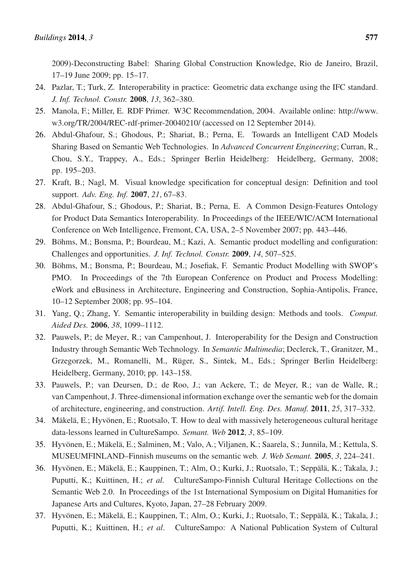2009)-Deconstructing Babel: Sharing Global Construction Knowledge, Rio de Janeiro, Brazil, 17–19 June 2009; pp. 15–17.

- 24. Pazlar, T.; Turk, Z. Interoperability in practice: Geometric data exchange using the IFC standard. *J. Inf. Technol. Constr.* 2008, *13*, 362–380.
- 25. Manola, F.; Miller, E. RDF Primer. W3C Recommendation, 2004. Available online: http://www. w3.org/TR/2004/REC-rdf-primer-20040210/ (accessed on 12 September 2014).
- 26. Abdul-Ghafour, S.; Ghodous, P.; Shariat, B.; Perna, E. Towards an Intelligent CAD Models Sharing Based on Semantic Web Technologies. In *Advanced Concurrent Engineering*; Curran, R., Chou, S.Y., Trappey, A., Eds.; Springer Berlin Heidelberg: Heidelberg, Germany, 2008; pp. 195–203.
- 27. Kraft, B.; Nagl, M. Visual knowledge specification for conceptual design: Definition and tool support. *Adv. Eng. Inf.* 2007, *21*, 67–83.
- 28. Abdul-Ghafour, S.; Ghodous, P.; Shariat, B.; Perna, E. A Common Design-Features Ontology for Product Data Semantics Interoperability. In Proceedings of the IEEE/WIC/ACM International Conference on Web Intelligence, Fremont, CA, USA, 2–5 November 2007; pp. 443–446.
- 29. Böhms, M.; Bonsma, P.; Bourdeau, M.; Kazi, A. Semantic product modelling and configuration: Challenges and opportunities. *J. Inf. Technol. Constr.* 2009, *14*, 507–525.
- 30. Böhms, M.; Bonsma, P.; Bourdeau, M.; Josefiak, F. Semantic Product Modelling with SWOP's PMO. In Proceedings of the 7th European Conference on Product and Process Modelling: eWork and eBusiness in Architecture, Engineering and Construction, Sophia-Antipolis, France, 10–12 September 2008; pp. 95–104.
- 31. Yang, Q.; Zhang, Y. Semantic interoperability in building design: Methods and tools. *Comput. Aided Des.* 2006, *38*, 1099–1112.
- 32. Pauwels, P.; de Meyer, R.; van Campenhout, J. Interoperability for the Design and Construction Industry through Semantic Web Technology. In *Semantic Multimedia*; Declerck, T., Granitzer, M., Grzegorzek, M., Romanelli, M., Rüger, S., Sintek, M., Eds.; Springer Berlin Heidelberg: Heidelberg, Germany, 2010; pp. 143–158.
- 33. Pauwels, P.; van Deursen, D.; de Roo, J.; van Ackere, T.; de Meyer, R.; van de Walle, R.; van Campenhout, J. Three-dimensional information exchange over the semantic web for the domain of architecture, engineering, and construction. *Artif. Intell. Eng. Des. Manuf.* 2011, *25*, 317–332.
- 34. Mäkelä, E.; Hyvönen, E.; Ruotsalo, T. How to deal with massively heterogeneous cultural heritage data-lessons learned in CultureSampo. *Semant. Web* 2012, *3*, 85–109.
- 35. Hyvönen, E.; Mäkelä, E.; Salminen, M.; Valo, A.; Viljanen, K.; Saarela, S.; Junnila, M.; Kettula, S. MUSEUMFINLAND–Finnish museums on the semantic web. *J. Web Semant.* 2005, *3*, 224–241.
- 36. Hyvönen, E.; Mäkelä, E.; Kauppinen, T.; Alm, O.; Kurki, J.; Ruotsalo, T.; Seppälä, K.; Takala, J.; Puputti, K.; Kuittinen, H.; *et al.* CultureSampo-Finnish Cultural Heritage Collections on the Semantic Web 2.0. In Proceedings of the 1st International Symposium on Digital Humanities for Japanese Arts and Cultures, Kyoto, Japan, 27–28 February 2009.
- 37. Hyvönen, E.; Mäkelä, E.; Kauppinen, T.; Alm, O.; Kurki, J.; Ruotsalo, T.; Seppälä, K.; Takala, J.; Puputti, K.; Kuittinen, H.; *et al*. CultureSampo: A National Publication System of Cultural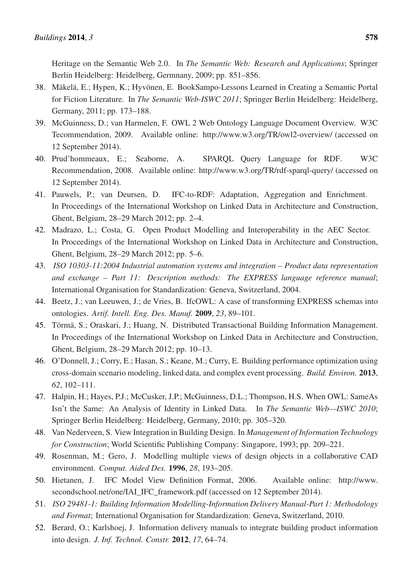Heritage on the Semantic Web 2.0. In *The Semantic Web: Research and Applications*; Springer Berlin Heidelberg: Heidelberg, Germnany, 2009; pp. 851–856.

- 38. Mäkelä, E.; Hypen, K.; Hyvönen, E. BookSampo-Lessons Learned in Creating a Semantic Portal for Fiction Literature. In *The Semantic Web-ISWC 2011*; Springer Berlin Heidelberg: Heidelberg, Germany, 2011; pp. 173–188.
- 39. McGuinness, D.; van Harmelen, F. OWL 2 Web Ontology Language Document Overview. W3C Tecommendation, 2009. Available online: http://www.w3.org/TR/owl2-overview/ (accessed on 12 September 2014).
- 40. Prud'hommeaux, E.; Seaborne, A. SPARQL Query Language for RDF. W3C Recommendation, 2008. Available online: http://www.w3.org/TR/rdf-sparql-query/ (accessed on 12 September 2014).
- 41. Pauwels, P.; van Deursen, D. IFC-to-RDF: Adaptation, Aggregation and Enrichment. In Proceedings of the International Workshop on Linked Data in Architecture and Construction, Ghent, Belgium, 28–29 March 2012; pp. 2–4.
- 42. Madrazo, L.; Costa, G. Open Product Modelling and Interoperability in the AEC Sector. In Proceedings of the International Workshop on Linked Data in Architecture and Construction, Ghent, Belgium, 28–29 March 2012; pp. 5–6.
- 43. *ISO 10303-11:2004 Industrial automation systems and integration Product data representation and exchange – Part 11: Description methods: The EXPRESS language reference manual*; International Organisation for Standardization: Geneva, Switzerland, 2004.
- 44. Beetz, J.; van Leeuwen, J.; de Vries, B. IfcOWL: A case of transforming EXPRESS schemas into ontologies. *Artif. Intell. Eng. Des. Manuf.* 2009, *23*, 89–101.
- 45. Törmä, S.; Oraskari, J.; Huang, N. Distributed Transactional Building Information Management. In Proceedings of the International Workshop on Linked Data in Architecture and Construction, Ghent, Belgium, 28–29 March 2012; pp. 10–13.
- 46. O'Donnell, J.; Corry, E.; Hasan, S.; Keane, M.; Curry, E. Building performance optimization using cross-domain scenario modeling, linked data, and complex event processing. *Build. Environ.* 2013, *62*, 102–111.
- 47. Halpin, H.; Hayes, P.J.; McCusker, J.P.; McGuinness, D.L.; Thompson, H.S. When OWL: SameAs Isn't the Same: An Analysis of Identity in Linked Data. In *The Semantic Web—ISWC 2010*; Springer Berlin Heidelberg: Heidelberg, Germany, 2010; pp. 305–320.
- 48. Van Nederveen, S. View Integration in Building Design. In *Management of Information Technology for Construction*; World Scientific Publishing Company: Singapore, 1993; pp. 209–221.
- 49. Rosenman, M.; Gero, J. Modelling multiple views of design objects in a collaborative CAD environment. *Comput. Aided Des.* 1996, *28*, 193–205.
- 50. Hietanen, J. IFC Model View Definition Format, 2006. Available online: http://www. secondschool.net/one/IAI\_IFC\_framework.pdf (accessed on 12 September 2014).
- 51. *ISO 29481-1: Building Information Modelling-Information Delivery Manual-Part 1: Methodology and Format*; International Organisation for Standardization: Geneva, Switzerland, 2010.
- 52. Berard, O.; Karlshoej, J. Information delivery manuals to integrate building product information into design. *J. Inf. Technol. Constr.* 2012, *17*, 64–74.